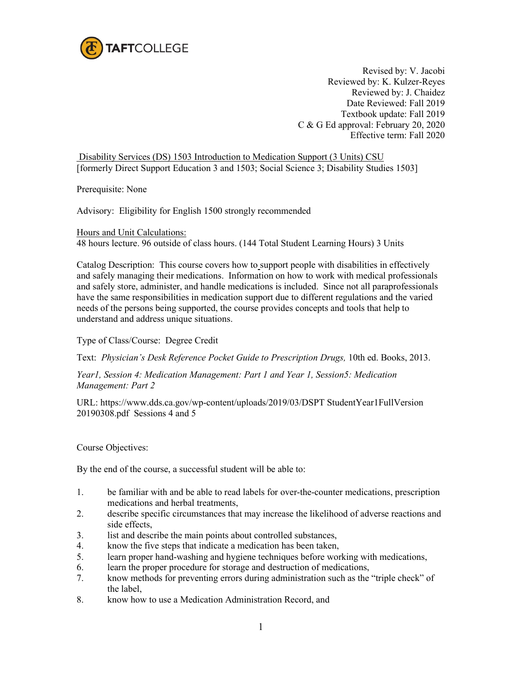

Revised by: V. Jacobi Reviewed by: K. Kulzer-Reyes Reviewed by: J. Chaidez Date Reviewed: Fall 2019 Textbook update: Fall 2019 C & G Ed approval: February 20, 2020 Effective term: Fall 2020

Disability Services (DS) 1503 Introduction to Medication Support (3 Units) CSU [formerly Direct Support Education 3 and 1503; Social Science 3; Disability Studies 1503]

Prerequisite: None

Advisory: Eligibility for English 1500 strongly recommended

Hours and Unit Calculations:

48 hours lecture. 96 outside of class hours. (144 Total Student Learning Hours) 3 Units

Catalog Description: This course covers how to support people with disabilities in effectively and safely managing their medications. Information on how to work with medical professionals and safely store, administer, and handle medications is included. Since not all paraprofessionals have the same responsibilities in medication support due to different regulations and the varied needs of the persons being supported, the course provides concepts and tools that help to understand and address unique situations.

Type of Class/Course: Degree Credit

Text: *Physician's Desk Reference Pocket Guide to Prescription Drugs,* 10th ed. Books, 2013.

*Year1, Session 4: Medication Management: Part 1 and Year 1, Session5: Medication Management: Part 2*

URL: https://www.dds.ca.gov/wp-content/uploads/2019/03/DSPT StudentYear1FullVersion 20190308.pdf Sessions 4 and 5

Course Objectives:

By the end of the course, a successful student will be able to:

- 1. be familiar with and be able to read labels for over-the-counter medications, prescription medications and herbal treatments,
- 2. describe specific circumstances that may increase the likelihood of adverse reactions and side effects,
- 3. list and describe the main points about controlled substances,
- 4. know the five steps that indicate a medication has been taken,
- 5. learn proper hand-washing and hygiene techniques before working with medications,
- 6. learn the proper procedure for storage and destruction of medications,
- 7. know methods for preventing errors during administration such as the "triple check" of the label,
- 8. know how to use a Medication Administration Record, and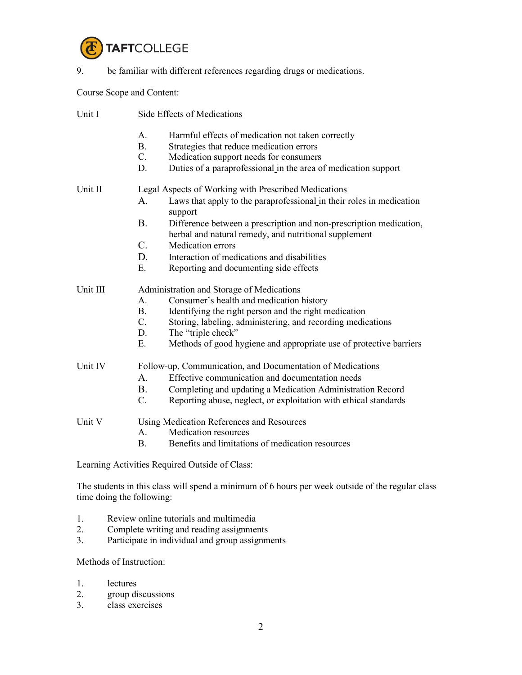

9. be familiar with different references regarding drugs or medications.

Course Scope and Content:

| Unit I   | <b>Side Effects of Medications</b>                         |                                                                                                                             |  |
|----------|------------------------------------------------------------|-----------------------------------------------------------------------------------------------------------------------------|--|
|          | A.                                                         | Harmful effects of medication not taken correctly                                                                           |  |
|          | <b>B.</b>                                                  | Strategies that reduce medication errors                                                                                    |  |
|          | C.                                                         | Medication support needs for consumers                                                                                      |  |
|          | D.                                                         | Duties of a paraprofessional in the area of medication support                                                              |  |
| Unit II  | Legal Aspects of Working with Prescribed Medications       |                                                                                                                             |  |
|          | A.                                                         | Laws that apply to the paraprofessional in their roles in medication<br>support                                             |  |
|          | <b>B.</b>                                                  | Difference between a prescription and non-prescription medication,<br>herbal and natural remedy, and nutritional supplement |  |
|          | $\mathbf{C}$ .                                             | Medication errors                                                                                                           |  |
|          | D.                                                         | Interaction of medications and disabilities                                                                                 |  |
|          | Ε.                                                         | Reporting and documenting side effects                                                                                      |  |
| Unit III | Administration and Storage of Medications                  |                                                                                                                             |  |
|          | A.                                                         | Consumer's health and medication history                                                                                    |  |
|          | <b>B.</b>                                                  | Identifying the right person and the right medication                                                                       |  |
|          | C.                                                         | Storing, labeling, administering, and recording medications                                                                 |  |
|          | D.                                                         | The "triple check"                                                                                                          |  |
|          | E.                                                         | Methods of good hygiene and appropriate use of protective barriers                                                          |  |
| Unit IV  | Follow-up, Communication, and Documentation of Medications |                                                                                                                             |  |
|          | A.                                                         | Effective communication and documentation needs                                                                             |  |
|          | B.                                                         | Completing and updating a Medication Administration Record                                                                  |  |
|          | $C_{\cdot}$                                                | Reporting abuse, neglect, or exploitation with ethical standards                                                            |  |
| Unit V   | Using Medication References and Resources                  |                                                                                                                             |  |
|          | А.                                                         | <b>Medication resources</b>                                                                                                 |  |
|          | <b>B.</b>                                                  | Benefits and limitations of medication resources                                                                            |  |

Learning Activities Required Outside of Class:

The students in this class will spend a minimum of 6 hours per week outside of the regular class time doing the following:

- 1. Review online tutorials and multimedia
- 2. Complete writing and reading assignments
- 3. Participate in individual and group assignments

## Methods of Instruction:

- 1. lectures
- 2. group discussions<br>3. class exercises
- class exercises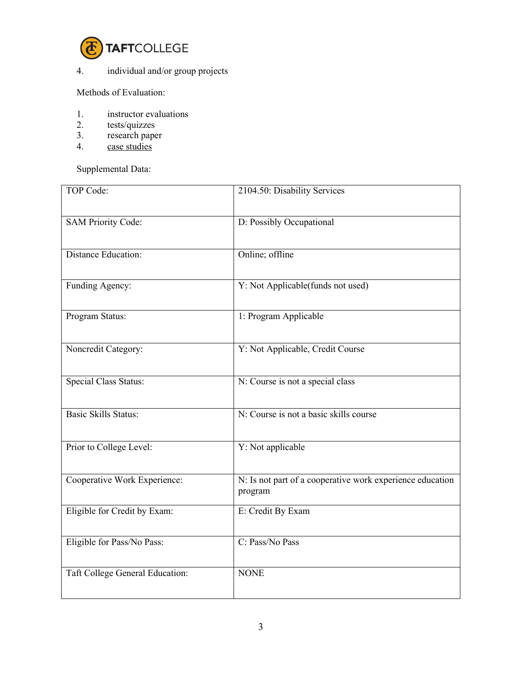

## 4. individual and/or group projects

Methods of Evaluation:

- 1. instructor evaluations<br>2. tests/quizzes
- tests/quizzes
- 3. research paper
- 4. case studies

Supplemental Data:

| <b>TOP Code:</b>                | 2104.50: Disability Services                                         |
|---------------------------------|----------------------------------------------------------------------|
| <b>SAM Priority Code:</b>       | D: Possibly Occupational                                             |
| <b>Distance Education:</b>      | Online; offline                                                      |
| Funding Agency:                 | Y: Not Applicable(funds not used)                                    |
| Program Status:                 | 1: Program Applicable                                                |
| Noncredit Category:             | Y: Not Applicable, Credit Course                                     |
| Special Class Status:           | N: Course is not a special class                                     |
| Basic Skills Status:            | N: Course is not a basic skills course                               |
| Prior to College Level:         | Y: Not applicable                                                    |
| Cooperative Work Experience:    | N: Is not part of a cooperative work experience education<br>program |
| Eligible for Credit by Exam:    | E: Credit By Exam                                                    |
| Eligible for Pass/No Pass:      | C: Pass/No Pass                                                      |
| Taft College General Education: | <b>NONE</b>                                                          |